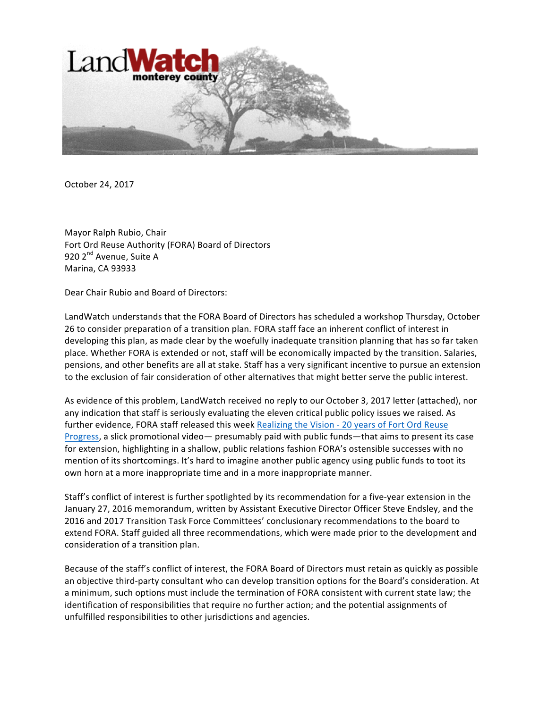

October 24, 2017

Mayor Ralph Rubio, Chair Fort Ord Reuse Authority (FORA) Board of Directors 920 2<sup>nd</sup> Avenue, Suite A Marina, CA 93933

Dear Chair Rubio and Board of Directors:

LandWatch understands that the FORA Board of Directors has scheduled a workshop Thursday, October 26 to consider preparation of a transition plan. FORA staff face an inherent conflict of interest in developing this plan, as made clear by the woefully inadequate transition planning that has so far taken place. Whether FORA is extended or not, staff will be economically impacted by the transition. Salaries, pensions, and other benefits are all at stake. Staff has a very significant incentive to pursue an extension to the exclusion of fair consideration of other alternatives that might better serve the public interest.

As evidence of this problem, LandWatch received no reply to our October 3, 2017 letter (attached), nor any indication that staff is seriously evaluating the eleven critical public policy issues we raised. As further evidence, FORA staff released this week Realizing the Vision - 20 years of Fort Ord Reuse Progress, a slick promotional video— presumably paid with public funds—that aims to present its case for extension, highlighting in a shallow, public relations fashion FORA's ostensible successes with no mention of its shortcomings. It's hard to imagine another public agency using public funds to toot its own horn at a more inappropriate time and in a more inappropriate manner.

Staff's conflict of interest is further spotlighted by its recommendation for a five-year extension in the January 27, 2016 memorandum, written by Assistant Executive Director Officer Steve Endsley, and the 2016 and 2017 Transition Task Force Committees' conclusionary recommendations to the board to extend FORA. Staff guided all three recommendations, which were made prior to the development and consideration of a transition plan.

Because of the staff's conflict of interest, the FORA Board of Directors must retain as quickly as possible an objective third-party consultant who can develop transition options for the Board's consideration. At a minimum, such options must include the termination of FORA consistent with current state law; the identification of responsibilities that require no further action; and the potential assignments of unfulfilled responsibilities to other jurisdictions and agencies.